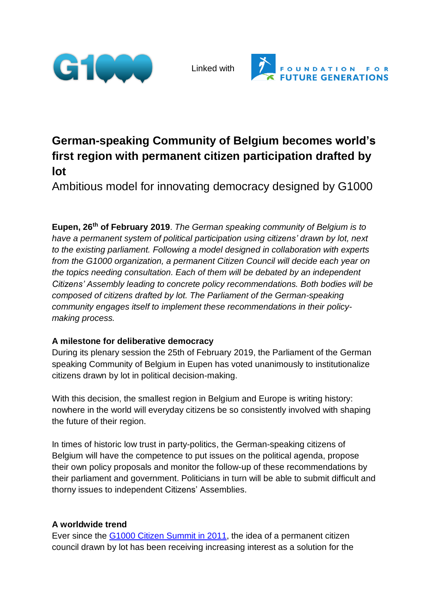

Linked with



# **German-speaking Community of Belgium becomes world's first region with permanent citizen participation drafted by lot**

Ambitious model for innovating democracy designed by G1000

**Eupen, 26th of February 2019**. *The German speaking community of Belgium is to have a permanent system of political participation using citizens' drawn by lot, next to the existing parliament. Following a model designed in collaboration with experts from the G1000 organization, a permanent Citizen Council will decide each year on the topics needing consultation. Each of them will be debated by an independent Citizens' Assembly leading to concrete policy recommendations. Both bodies will be composed of citizens drafted by lot. The Parliament of the German-speaking community engages itself to implement these recommendations in their policymaking process.*

### **A milestone for deliberative democracy**

During its plenary session the 25th of February 2019, the Parliament of the German speaking Community of Belgium in Eupen has voted unanimously to institutionalize citizens drawn by lot in political decision-making.

With this decision, the smallest region in Belgium and Europe is writing history: nowhere in the world will everyday citizens be so consistently involved with shaping the future of their region.

In times of historic low trust in party-politics, the German-speaking citizens of Belgium will have the competence to put issues on the political agenda, propose their own policy proposals and monitor the follow-up of these recommendations by their parliament and government. Politicians in turn will be able to submit difficult and thorny issues to independent Citizens' Assemblies.

# **A worldwide trend**

Ever since the G1000 Citizen [Summit](http://www.g1000.org/en/index.php) in 2011, the idea of a permanent citizen council drawn by lot has been receiving increasing interest as a solution for the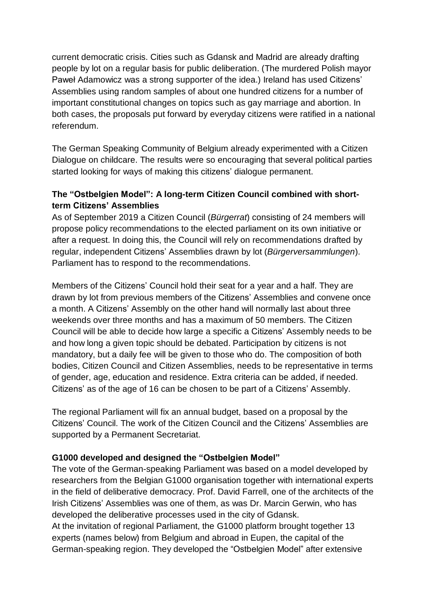current democratic crisis. Cities such as Gdansk and Madrid are already drafting people by lot on a regular basis for public deliberation. (The murdered Polish mayor Paweł Adamowicz was a strong supporter of the idea.) Ireland has used Citizens' Assemblies using random samples of about one hundred citizens for a number of important constitutional changes on topics such as gay marriage and abortion. In both cases, the proposals put forward by everyday citizens were ratified in a national referendum.

The German Speaking Community of Belgium already experimented with a Citizen Dialogue on childcare. The results were so encouraging that several political parties started looking for ways of making this citizens' dialogue permanent.

# **The "Ostbelgien Model": A long-term Citizen Council combined with shortterm Citizens' Assemblies**

As of September 2019 a Citizen Council (*Bürgerrat*) consisting of 24 members will propose policy recommendations to the elected parliament on its own initiative or after a request. In doing this, the Council will rely on recommendations drafted by regular, independent Citizens' Assemblies drawn by lot (*Bürgerversammlungen*). Parliament has to respond to the recommendations.

Members of the Citizens' Council hold their seat for a year and a half. They are drawn by lot from previous members of the Citizens' Assemblies and convene once a month. A Citizens' Assembly on the other hand will normally last about three weekends over three months and has a maximum of 50 members. The Citizen Council will be able to decide how large a specific a Citizens' Assembly needs to be and how long a given topic should be debated. Participation by citizens is not mandatory, but a daily fee will be given to those who do. The composition of both bodies, Citizen Council and Citizen Assemblies, needs to be representative in terms of gender, age, education and residence. Extra criteria can be added, if needed. Citizens' as of the age of 16 can be chosen to be part of a Citizens' Assembly.

The regional Parliament will fix an annual budget, based on a proposal by the Citizens' Council. The work of the Citizen Council and the Citizens' Assemblies are supported by a Permanent Secretariat.

### **G1000 developed and designed the "Ostbelgien Model"**

The vote of the German-speaking Parliament was based on a model developed by researchers from the Belgian G1000 organisation together with international experts in the field of deliberative democracy. Prof. David Farrell, one of the architects of the Irish Citizens' Assemblies was one of them, as was Dr. Marcin Gerwin, who has developed the deliberative processes used in the city of Gdansk.

At the invitation of regional Parliament, the G1000 platform brought together 13 experts (names below) from Belgium and abroad in Eupen, the capital of the German-speaking region. They developed the "Ostbelgien Model" after extensive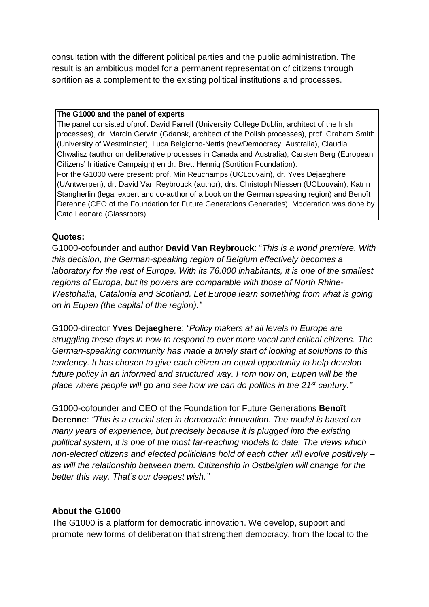consultation with the different political parties and the public administration. The result is an ambitious model for a permanent representation of citizens through sortition as a complement to the existing political institutions and processes.

#### **The G1000 and the panel of experts**

The panel consisted ofprof. David Farrell (University College Dublin, architect of the Irish processes), dr. Marcin Gerwin (Gdansk, architect of the Polish processes), prof. Graham Smith (University of Westminster), Luca Belgiorno-Nettis (newDemocracy, Australia), Claudia Chwalisz (author on deliberative processes in Canada and Australia), Carsten Berg (European Citizens' Initiative Campaign) en dr. Brett Hennig (Sortition Foundation). For the G1000 were present: prof. Min Reuchamps (UCLouvain), dr. Yves Dejaeghere (UAntwerpen), dr. David Van Reybrouck (author), drs. Christoph Niessen (UCLouvain), Katrin Stangherlin (legal expert and co-author of a book on the German speaking region) and Benoît Derenne (CEO of the Foundation for Future Generations Generaties). Moderation was done by Cato Leonard (Glassroots).

#### **Quotes:**

G1000-cofounder and author **David Van Reybrouck**: "*This is a world premiere. With this decision, the German-speaking region of Belgium effectively becomes a laboratory for the rest of Europe. With its 76.000 inhabitants, it is one of the smallest regions of Europa, but its powers are comparable with those of North Rhine-Westphalia, Catalonia and Scotland. Let Europe learn something from what is going on in Eupen (the capital of the region)."*

G1000-director **Yves Dejaeghere**: *"Policy makers at all levels in Europe are struggling these days in how to respond to ever more vocal and critical citizens. The German-speaking community has made a timely start of looking at solutions to this tendency. It has chosen to give each citizen an equal opportunity to help develop future policy in an informed and structured way. From now on, Eupen will be the place where people will go and see how we can do politics in the 21st century."*

G1000-cofounder and CEO of the Foundation for Future Generations **Benoît Derenne**: *"This is a crucial step in democratic innovation. The model is based on many years of experience, but precisely because it is plugged into the existing political system, it is one of the most far-reaching models to date. The views which non-elected citizens and elected politicians hold of each other will evolve positively – as will the relationship between them. Citizenship in Ostbelgien will change for the better this way. That's our deepest wish."*

### **About the G1000**

The G1000 is a platform for democratic innovation. We develop, support and promote new forms of deliberation that strengthen democracy, from the local to the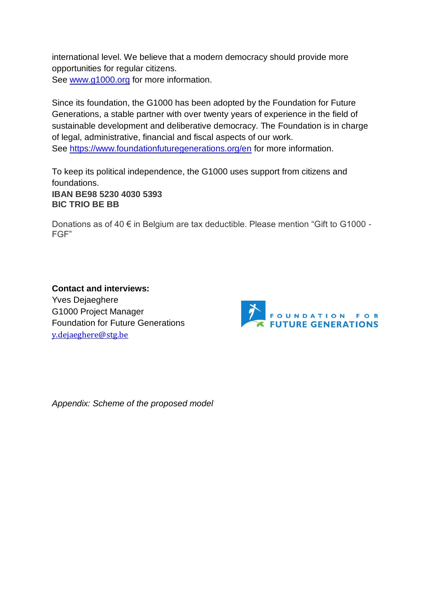international level. We believe that a modern democracy should provide more opportunities for regular citizens. See [www.g1000.org](http://www.g1000.org/) for more information.

Since its foundation, the G1000 has been adopted by the Foundation for Future Generations, a stable partner with over twenty years of experience in the field of sustainable development and deliberative democracy. The Foundation is in charge of legal, administrative, financial and fiscal aspects of our work. See <https://www.foundationfuturegenerations.org/en> for more information.

To keep its political independence, the G1000 uses support from citizens and foundations.

**IBAN BE98 5230 4030 5393 BIC TRIO BE BB**

Donations as of 40 € in Belgium are tax deductible. Please mention "Gift to G1000 - FGF"

**Contact and interviews:** Yves Dejaeghere G1000 Project Manager Foundation for Future Generations [y.dejaeghere@stg.be](mailto:y.dejaeghere@stg.be)



*Appendix: Scheme of the proposed model*